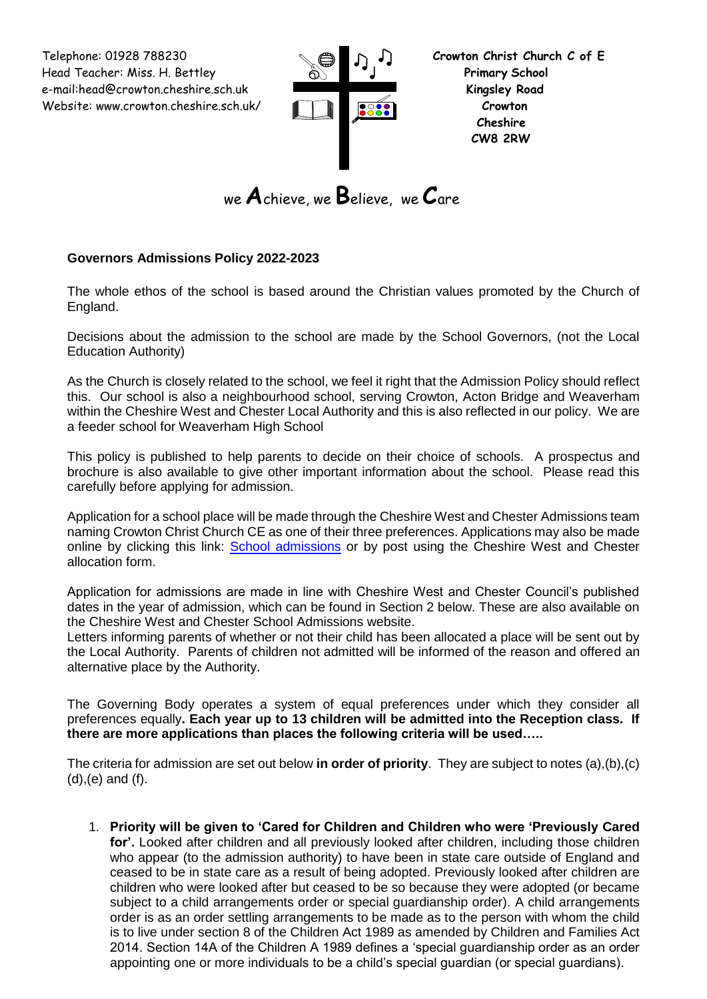Telephone: 01928 788230 **Crowton Christ Church C of E** Head Teacher: Miss. H. Bettley **Primary School**  e-mail:head@crowton.cheshire.sch.uk **Kingsley Road** Website: www.crowton.cheshire.sch.uk/ **Crowton**



```
we Achieve, we Believe, we Care
```
# **Governors Admissions Policy 2022-2023**

The whole ethos of the school is based around the Christian values promoted by the Church of England.

Decisions about the admission to the school are made by the School Governors, (not the Local Education Authority)

As the Church is closely related to the school, we feel it right that the Admission Policy should reflect this. Our school is also a neighbourhood school, serving Crowton, Acton Bridge and Weaverham within the Cheshire West and Chester Local Authority and this is also reflected in our policy. We are a feeder school for Weaverham High School

This policy is published to help parents to decide on their choice of schools. A prospectus and brochure is also available to give other important information about the school. Please read this carefully before applying for admission.

Application for a school place will be made through the Cheshire West and Chester Admissions team naming Crowton Christ Church CE as one of their three preferences. Applications may also be made online by clicking this link: [School admissions](http://www.cheshirewestandchester.gov.uk/residents/education_and_learning/school_admissions.aspx) or by post using the Cheshire West and Chester allocation form.

Application for admissions are made in line with Cheshire West and Chester Council's published dates in the year of admission, which can be found in Section 2 below. These are also available on the Cheshire West and Chester School Admissions website.

Letters informing parents of whether or not their child has been allocated a place will be sent out by the Local Authority. Parents of children not admitted will be informed of the reason and offered an alternative place by the Authority.

The Governing Body operates a system of equal preferences under which they consider all preferences equally**. Each year up to 13 children will be admitted into the Reception class. If there are more applications than places the following criteria will be used…..**

The criteria for admission are set out below **in order of priority**. They are subject to notes (a),(b),(c) (d),(e) and (f).

1. **Priority will be given to 'Cared for Children and Children who were 'Previously Cared for'.** Looked after children and all previously looked after children, including those children who appear (to the admission authority) to have been in state care outside of England and ceased to be in state care as a result of being adopted. Previously looked after children are children who were looked after but ceased to be so because they were adopted (or became subject to a child arrangements order or special guardianship order). A child arrangements order is as an order settling arrangements to be made as to the person with whom the child is to live under section 8 of the Children Act 1989 as amended by Children and Families Act 2014. Section 14A of the Children A 1989 defines a 'special guardianship order as an order appointing one or more individuals to be a child's special guardian (or special guardians).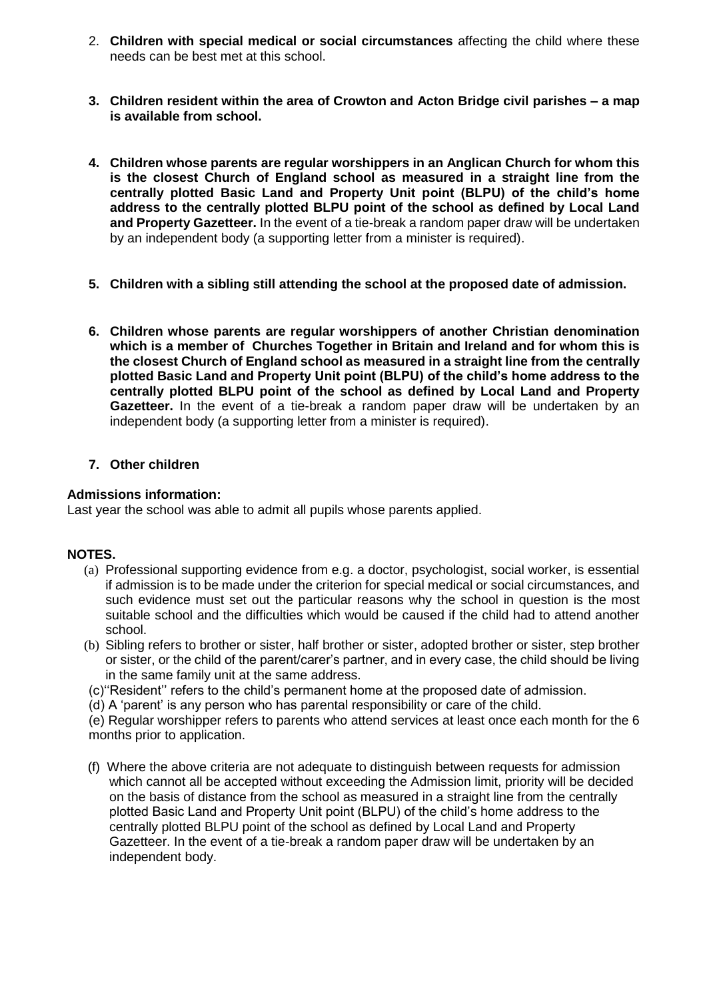- 2. **Children with special medical or social circumstances** affecting the child where these needs can be best met at this school.
- **3. Children resident within the area of Crowton and Acton Bridge civil parishes – a map is available from school.**
- **4. Children whose parents are regular worshippers in an Anglican Church for whom this is the closest Church of England school as measured in a straight line from the centrally plotted Basic Land and Property Unit point (BLPU) of the child's home address to the centrally plotted BLPU point of the school as defined by Local Land and Property Gazetteer.** In the event of a tie-break a random paper draw will be undertaken by an independent body (a supporting letter from a minister is required).
- **5. Children with a sibling still attending the school at the proposed date of admission.**
- **6. Children whose parents are regular worshippers of another Christian denomination which is a member of Churches Together in Britain and Ireland and for whom this is the closest Church of England school as measured in a straight line from the centrally plotted Basic Land and Property Unit point (BLPU) of the child's home address to the centrally plotted BLPU point of the school as defined by Local Land and Property Gazetteer.** In the event of a tie-break a random paper draw will be undertaken by an independent body (a supporting letter from a minister is required).

## **7. Other children**

## **Admissions information:**

Last year the school was able to admit all pupils whose parents applied.

### **NOTES.**

- (a) Professional supporting evidence from e.g. a doctor, psychologist, social worker, is essential if admission is to be made under the criterion for special medical or social circumstances, and such evidence must set out the particular reasons why the school in question is the most suitable school and the difficulties which would be caused if the child had to attend another school.
- (b) Sibling refers to brother or sister, half brother or sister, adopted brother or sister, step brother or sister, or the child of the parent/carer's partner, and in every case, the child should be living in the same family unit at the same address.
- (c)''Resident'' refers to the child's permanent home at the proposed date of admission.
- (d) A 'parent' is any person who has parental responsibility or care of the child.

(e) Regular worshipper refers to parents who attend services at least once each month for the 6 months prior to application.

(f) Where the above criteria are not adequate to distinguish between requests for admission which cannot all be accepted without exceeding the Admission limit, priority will be decided on the basis of distance from the school as measured in a straight line from the centrally plotted Basic Land and Property Unit point (BLPU) of the child's home address to the centrally plotted BLPU point of the school as defined by Local Land and Property Gazetteer. In the event of a tie-break a random paper draw will be undertaken by an independent body.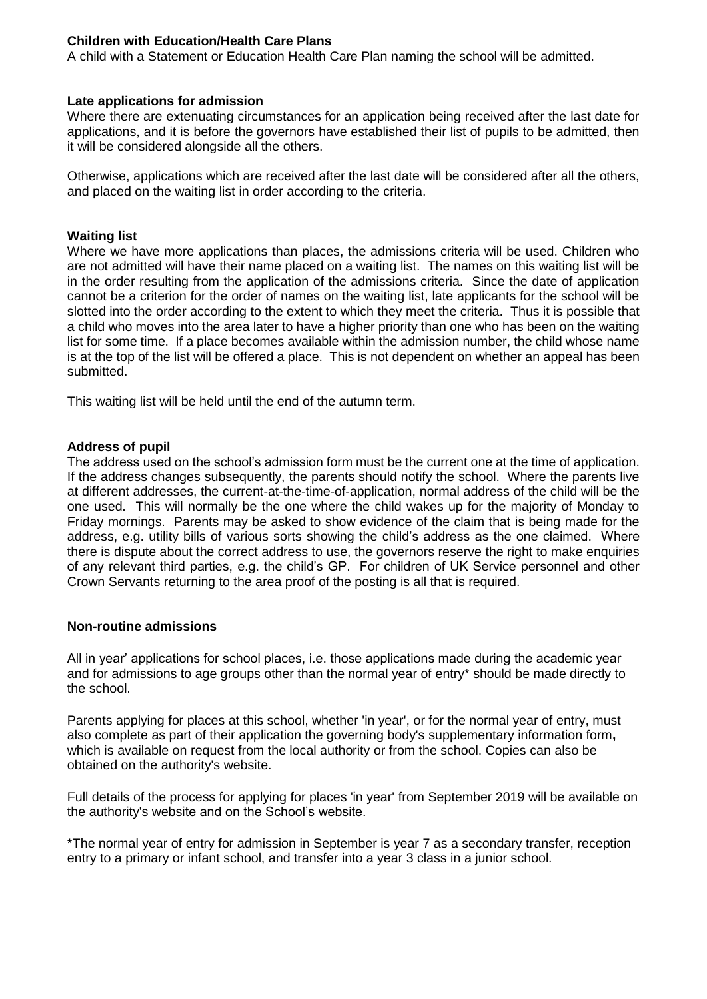## **Children with Education/Health Care Plans**

A child with a Statement or Education Health Care Plan naming the school will be admitted.

### **Late applications for admission**

Where there are extenuating circumstances for an application being received after the last date for applications, and it is before the governors have established their list of pupils to be admitted, then it will be considered alongside all the others.

Otherwise, applications which are received after the last date will be considered after all the others, and placed on the waiting list in order according to the criteria.

### **Waiting list**

Where we have more applications than places, the admissions criteria will be used. Children who are not admitted will have their name placed on a waiting list. The names on this waiting list will be in the order resulting from the application of the admissions criteria. Since the date of application cannot be a criterion for the order of names on the waiting list, late applicants for the school will be slotted into the order according to the extent to which they meet the criteria. Thus it is possible that a child who moves into the area later to have a higher priority than one who has been on the waiting list for some time. If a place becomes available within the admission number, the child whose name is at the top of the list will be offered a place. This is not dependent on whether an appeal has been submitted.

This waiting list will be held until the end of the autumn term.

#### **Address of pupil**

The address used on the school's admission form must be the current one at the time of application. If the address changes subsequently, the parents should notify the school. Where the parents live at different addresses, the current-at-the-time-of-application, normal address of the child will be the one used. This will normally be the one where the child wakes up for the majority of Monday to Friday mornings. Parents may be asked to show evidence of the claim that is being made for the address, e.g. utility bills of various sorts showing the child's address as the one claimed. Where there is dispute about the correct address to use, the governors reserve the right to make enquiries of any relevant third parties, e.g. the child's GP. For children of UK Service personnel and other Crown Servants returning to the area proof of the posting is all that is required.

### **Non-routine admissions**

All in year' applications for school places, i.e. those applications made during the academic year and for admissions to age groups other than the normal year of entry\* should be made directly to the school.

Parents applying for places at this school, whether 'in year', or for the normal year of entry, must also complete as part of their application the governing body's supplementary information form**,** which is available on request from the local authority or from the school. Copies can also be obtained on the authority's website.

Full details of the process for applying for places 'in year' from September 2019 will be available on the authority's website and on the School's website.

\*The normal year of entry for admission in September is year 7 as a secondary transfer, reception entry to a primary or infant school, and transfer into a year 3 class in a junior school.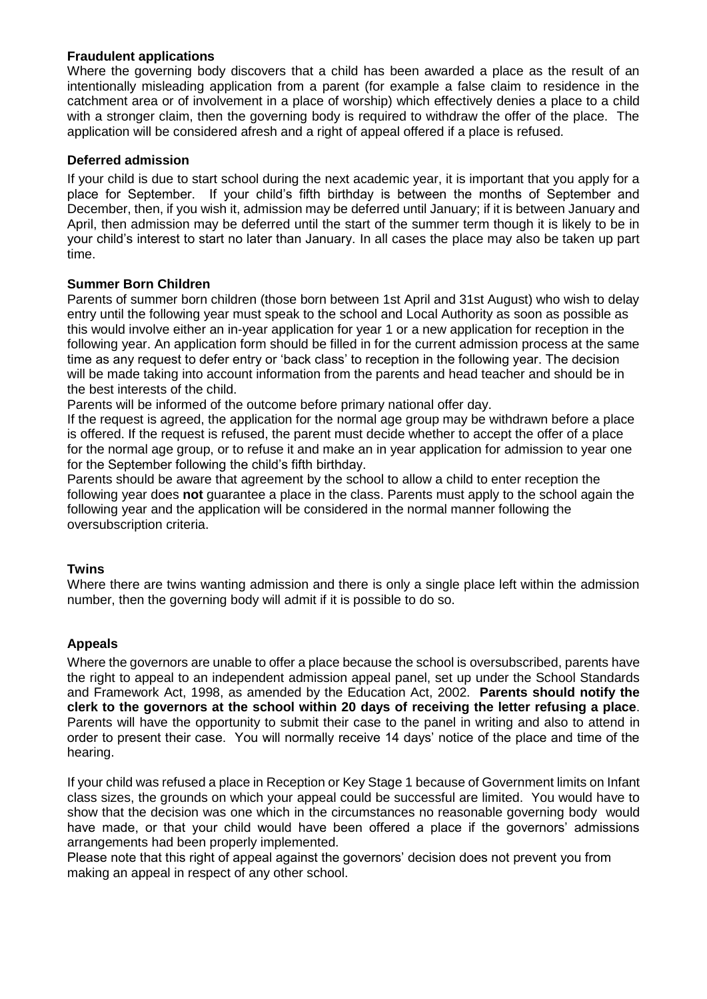## **Fraudulent applications**

Where the governing body discovers that a child has been awarded a place as the result of an intentionally misleading application from a parent (for example a false claim to residence in the catchment area or of involvement in a place of worship) which effectively denies a place to a child with a stronger claim, then the governing body is required to withdraw the offer of the place. The application will be considered afresh and a right of appeal offered if a place is refused.

## **Deferred admission**

If your child is due to start school during the next academic year, it is important that you apply for a place for September. If your child's fifth birthday is between the months of September and December, then, if you wish it, admission may be deferred until January; if it is between January and April, then admission may be deferred until the start of the summer term though it is likely to be in your child's interest to start no later than January. In all cases the place may also be taken up part time.

## **Summer Born Children**

Parents of summer born children (those born between 1st April and 31st August) who wish to delay entry until the following year must speak to the school and Local Authority as soon as possible as this would involve either an in-year application for year 1 or a new application for reception in the following year. An application form should be filled in for the current admission process at the same time as any request to defer entry or 'back class' to reception in the following year. The decision will be made taking into account information from the parents and head teacher and should be in the best interests of the child.

Parents will be informed of the outcome before primary national offer day.

If the request is agreed, the application for the normal age group may be withdrawn before a place is offered. If the request is refused, the parent must decide whether to accept the offer of a place for the normal age group, or to refuse it and make an in year application for admission to year one for the September following the child's fifth birthday.

Parents should be aware that agreement by the school to allow a child to enter reception the following year does **not** guarantee a place in the class. Parents must apply to the school again the following year and the application will be considered in the normal manner following the oversubscription criteria.

## **Twins**

Where there are twins wanting admission and there is only a single place left within the admission number, then the governing body will admit if it is possible to do so.

# **Appeals**

Where the governors are unable to offer a place because the school is oversubscribed, parents have the right to appeal to an independent admission appeal panel, set up under the School Standards and Framework Act, 1998, as amended by the Education Act, 2002. **Parents should notify the clerk to the governors at the school within 20 days of receiving the letter refusing a place**. Parents will have the opportunity to submit their case to the panel in writing and also to attend in order to present their case. You will normally receive 14 days' notice of the place and time of the hearing.

If your child was refused a place in Reception or Key Stage 1 because of Government limits on Infant class sizes, the grounds on which your appeal could be successful are limited. You would have to show that the decision was one which in the circumstances no reasonable governing body would have made, or that your child would have been offered a place if the governors' admissions arrangements had been properly implemented.

Please note that this right of appeal against the governors' decision does not prevent you from making an appeal in respect of any other school.